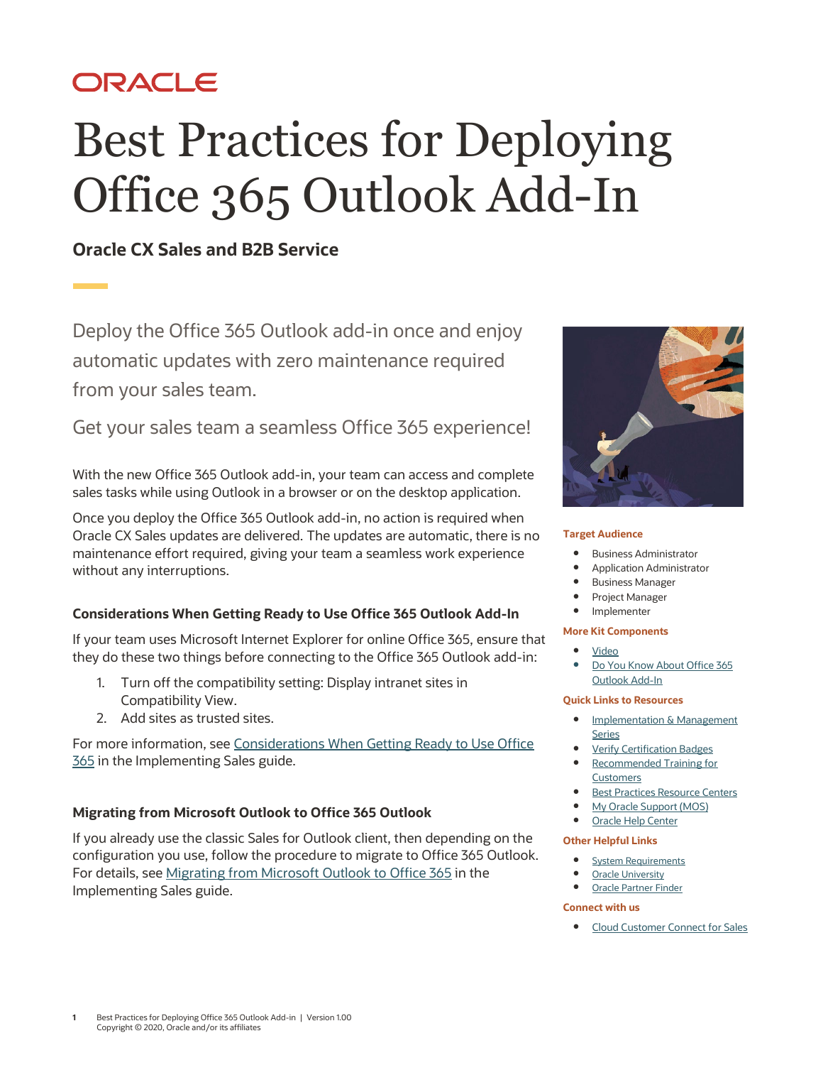# ORACLE

# Best Practices for Deploying Office 365 Outlook Add-In

# **Oracle CX Sales and B2B Service**

Deploy the Office 365 Outlook add-in once and enjoy automatic updates with zero maintenance required from your sales team.

Get your sales team a seamless Office 365 experience!

With the new Office 365 Outlook add-in, your team can access and complete sales tasks while using Outlook in a browser or on the desktop application.

Once you deploy the Office 365 Outlook add-in, no action is required when Oracle CX Sales updates are delivered. The updates are automatic, there is no maintenance effort required, giving your team a seamless work experience without any interruptions.

# **Considerations When Getting Ready to Use Office 365 Outlook Add-In**

If your team uses Microsoft Internet Explorer for online Office 365, ensure that they do these two things before connecting to the Office 365 Outlook add-in:

- 1. Turn off the compatibility setting: Display intranet sites in Compatibility View.
- 2. Add sites as trusted sites.

For more information, see [Considerations When Getting Ready to Use Office](http://www.oracle.com/pls/topic/lookup?ctx=cloud&id=OASAL3869451)  **[365](http://www.oracle.com/pls/topic/lookup?ctx=cloud&id=OASAL3869451)** in the Implementing Sales guide.

# **Migrating from Microsoft Outlook to Office 365 Outlook**

If you already use the classic Sales for Outlook client, then depending on the configuration you use, follow the procedure to migrate to Office 365 Outlook. For details, se[e Migrating from Microsoft Outlook to Office 365](http://www.oracle.com/pls/topic/lookup?ctx=cloud&id=OASAL3125290) in the Implementing Sales guide.



#### **Target Audience**

- Business Administrator
- Application Administrator
- Business Manager
- Project Manager
- Implementer

#### **More Kit Components**

- [Video](https://videohub.oracle.com/media/Office+365+Add-In+for+CX+Sales/0_wvgqr4dw)
- [Do You Know](https://www.oracle.com/webfolder/cx-implementation/office-365-outlook-add-in-dyk.pdf) About Office 365 [Outlook Add-In](https://www.oracle.com/webfolder/cx-implementation/office-365-outlook-add-in-dyk.pdf)

#### **Quick Links to Resources**

- [Implementation & Management](https://www.oracle.com/a/ocom/docs/implementation-and-management-series.pdf)  [Series](https://www.oracle.com/a/ocom/docs/implementation-and-management-series.pdf)
- [Verify Certification Badges](https://www.youracclaim.com/org/oracle/verify)
- [Recommended Training for](https://www.oracle.com/a/ocom/docs/recommended-training-and-certification-for-customers.pdf)  **[Customers](https://www.oracle.com/a/ocom/docs/recommended-training-and-certification-for-customers.pdf)**
- [Best Practices Resource Centers](https://www.oracle.com/a/ocom/docs/resource-centers-and-implementation-notes.pdf)
- [My Oracle Support \(MOS\)](https://support.oracle.com/epmos/faces/MosIndex.jspx?_afrLoop=578622290143934&_afrWindowMode=0&_adf.ctrl-state=2qo3ce9t9_53)
- [Oracle Help Center](http://www.oracle.com/pls/topic/lookup?ctx=cloud&id=engagement)

#### **Other Helpful Links**

- [System Requirements](https://www.oracle.com/system-requirements/)
- [Oracle University](https://education.oracle.com/saas-cx/cx-sales/pFamily_657)
- [Oracle Partner Finder](https://partner-finder.oracle.com/)

#### **Connect with us**

• [Cloud Customer Connect](https://cloudcustomerconnect.oracle.com/resources/110dfe9610/summary) for Sales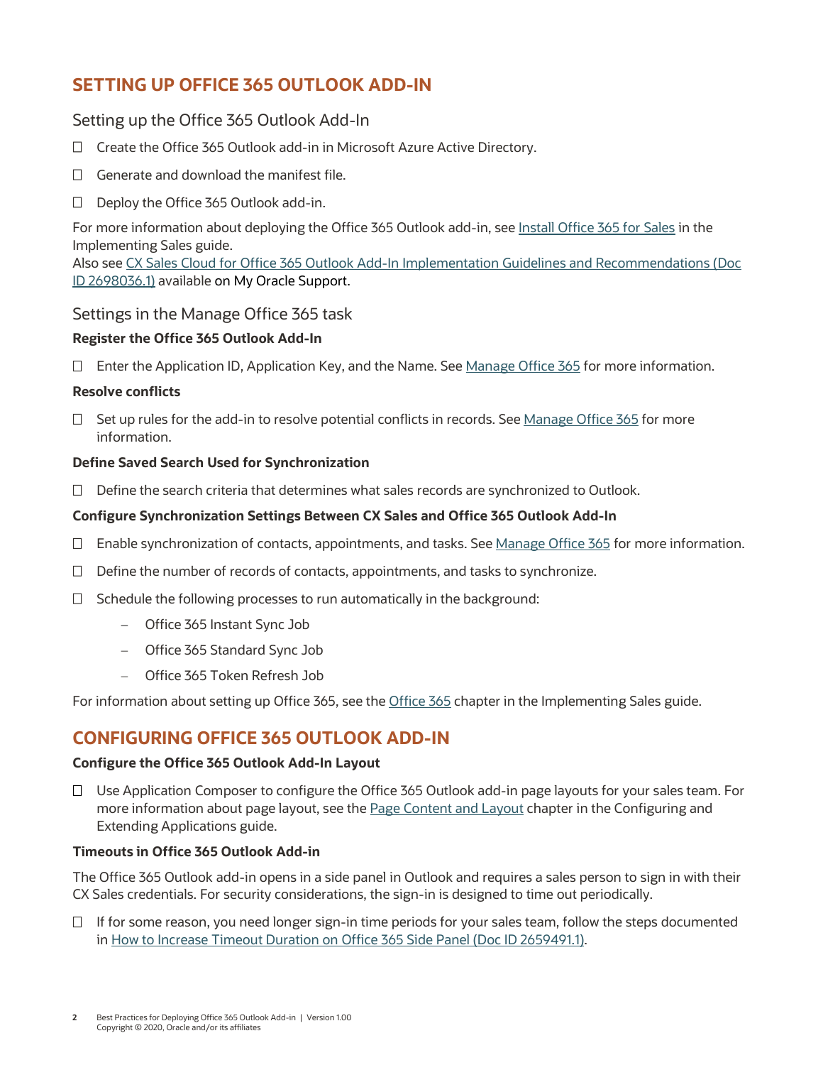# **SETTING UP OFFICE 365 OUTLOOK ADD-IN**

# Setting up the Office 365 Outlook Add-In

- □ Create the Office 365 Outlook add-in in Microsoft Azure Active Directory.
- $\Box$  Generate and download the manifest file.
- $\Box$  Deploy the Office 365 Outlook add-in.

For more information about deploying the Office 365 Outlook add-in, see [Install Office 365 for Sales](http://www.oracle.com/pls/topic/lookup?ctx=cloud&id=OASAL2233562) in the Implementing Sales guide.

Also see [CX Sales Cloud for Office 365 Outlook Add-In Implementation Guidelines and Recommendations \(Doc](https://support.oracle.com/epmos/faces/DocumentDisplay?id=2698036.1)  [ID 2698036.1\)](https://support.oracle.com/epmos/faces/DocumentDisplay?id=2698036.1) available on My Oracle Support.

# Settings in the Manage Office 365 task

# **Register the Office 365 Outlook Add-In**

 $\Box$  Enter the Application ID, Application Key, and the Name. Se[e Manage Office 365](http://www.oracle.com/pls/topic/lookup?ctx=cloud&id=OASAL3346001) for more information.

# **Resolve conflicts**

 $\Box$  Set up rules for the add-in to resolve potential conflicts in records. See [Manage Office 365](http://www.oracle.com/pls/topic/lookup?ctx=cloud&id=OASAL3346001) for more information.

# **Define Saved Search Used for Synchronization**

 $\Box$  Define the search criteria that determines what sales records are synchronized to Outlook.

# **Configure Synchronization Settings Between CX Sales and Office 365 Outlook Add-In**

- $\Box$  Enable synchronization of contacts, appointments, and tasks. See [Manage Office 365](http://www.oracle.com/pls/topic/lookup?ctx=cloud&id=OASAL3346001) for more information.
- $\Box$  Define the number of records of contacts, appointments, and tasks to synchronize.
- $\Box$  Schedule the following processes to run automatically in the background:
	- − Office 365 Instant Sync Job
	- − Office 365 Standard Sync Job
	- − Office 365 Token Refresh Job

For information about setting up Office 365, see th[e Office 365](http://www.oracle.com/pls/topic/lookup?ctx=cloud&id=OASAL2215903) chapter in the Implementing Sales guide.

# **CONFIGURING OFFICE 365 OUTLOOK ADD-IN**

### **Configure the Office 365 Outlook Add-In Layout**

 $\Box$  Use Application Composer to configure the Office 365 Outlook add-in page layouts for your sales team. For more information about page layout, see the [Page Content and Layout](http://www.oracle.com/pls/topic/lookup?ctx=cloud&id=OAEXT1777473) chapter in the Configuring and Extending Applications guide.

## **Timeouts in Office 365 Outlook Add-in**

The Office 365 Outlook add-in opens in a side panel in Outlook and requires a sales person to sign in with their CX Sales credentials. For security considerations, the sign-in is designed to time out periodically.

 $\Box$  If for some reason, you need longer sign-in time periods for your sales team, follow the steps documented in How to Increase Timeout [Duration on Office 365 Side Panel \(Doc ID 2659491.1\).](https://support.oracle.com/epmos/faces/DocumentDisplay?id=2659491.1)